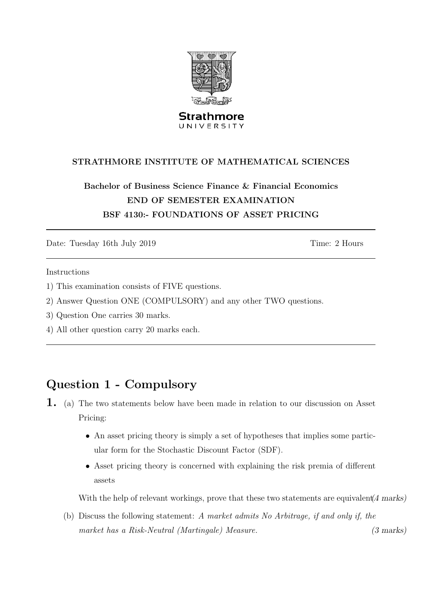

**Strathmore** UNIVERSITY

#### STRATHMORE INSTITUTE OF MATHEMATICAL SCIENCES

### Bachelor of Business Science Finance & Financial Economics END OF SEMESTER EXAMINATION BSF 4130:- FOUNDATIONS OF ASSET PRICING

Date: Tuesday 16th July 2019 Time: 2 Hours

Instructions

- 1) This examination consists of FIVE questions.
- 2) Answer Question ONE (COMPULSORY) and any other TWO questions.
- 3) Question One carries 30 marks.
- 4) All other question carry 20 marks each.

## Question 1 - Compulsory

- 1. (a) The two statements below have been made in relation to our discussion on Asset Pricing:
	- An asset pricing theory is simply a set of hypotheses that implies some particular form for the Stochastic Discount Factor (SDF).
	- Asset pricing theory is concerned with explaining the risk premia of different assets

With the help of relevant workings, prove that these two statements are equivalent.  $(4 \text{ marks})$ 

(b) Discuss the following statement: A market admits No Arbitrage, if and only if, the market has a Risk-Neutral (Martingale) Measure. (3 marks)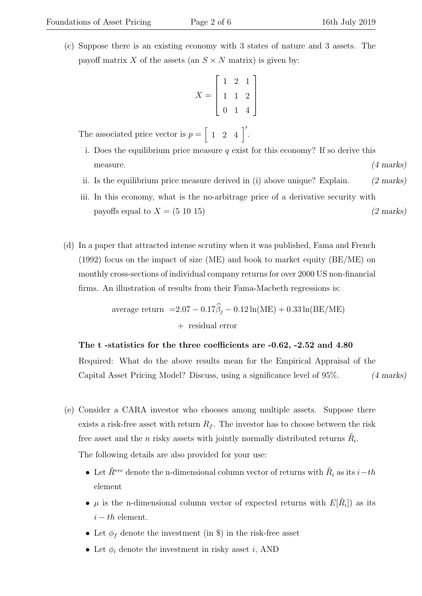(c) Suppose there is an existing economy with 3 states of nature and 3 assets. The payoff matrix X of the assets (an  $S \times N$  matrix) is given by:

$$
X = \left[ \begin{array}{rrr} 1 & 2 & 1 \\ 1 & 1 & 2 \\ 0 & 1 & 4 \end{array} \right]
$$

The associated price vector is  $p = \begin{bmatrix} 1 & 2 & 4 \end{bmatrix}'$ .

- i. Does the equilibrium price measure  $q$  exist for this economy? If so derive this  $1$  measure.  $(4 \text{ marks})$
- ii. Is the equilibrium price measure derived in (i) above unique? Explain. (2 marks)
- iii. In this economy, what is the no-arbitrage price of a derivative security with payoffs equal to  $X = (5 \ 10 \ 15)$  (2 marks)
- (d) In a paper that attracted intense scrutiny when it was published, Fama and French  $(1992)$  focus on the impact of size (ME) and book to market equity (BE/ME) on monthly cross-sections of individual company returns for over 2000 US non-financial firms. An illustration of results from their Fama-Macbeth regressions is:

average return 
$$
=2.07 - 0.17\hat{\beta}_j - 0.12 \ln(ME) + 0.33 \ln(BE/ME)
$$
  
+ residual error

#### The t -statistics for the three coefficients are -0.62, -2.52 and 4.80

Required: What do the above results mean for the Empirical Appraisal of the Capital Asset Pricing Model? Discuss, using a significance level of 95%. (4 marks)

- (e) Consider a CARA investor who chooses among multiple assets. Suppose there exists a risk-free asset with return  $R_f$ . The investor has to choose between the risk free asset and the *n* risky assets with jointly normally distributed returns  $\tilde{R}_i$ . The following details are also provided for your use:
	- Let  $\tilde{R}^{vec}$  denote the n-dimensional column vector of returns with  $\tilde{R}_i$  as its  $i-th$ element
	- $\mu$  is the n-dimensional column vector of expected returns with  $E[\tilde{R}_i]$  as its  $i-th$  element.
	- Let  $\phi_f$  denote the investment (in \$) in the risk-free asset
	- Let  $\phi_i$  denote the investment in risky asset *i*, AND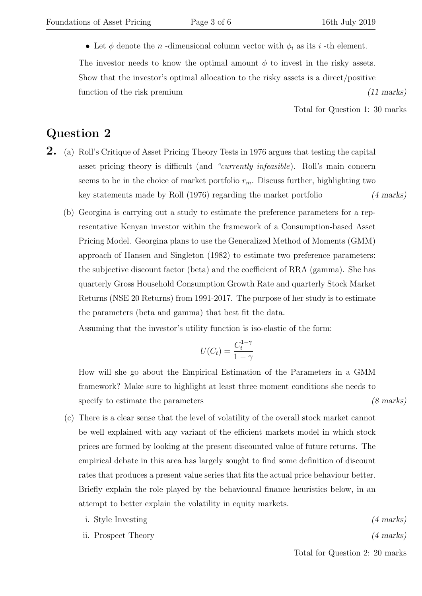• Let  $\phi$  denote the *n* -dimensional column vector with  $\phi_i$  as its *i* -th element.

The investor needs to know the optimal amount  $\phi$  to invest in the risky assets. Show that the investor's optimal allocation to the risky assets is a direct/positive function of the risk premium (11 marks)

Total for Question 1: 30 marks

#### Question 2

- 2. (a) Roll's Critique of Asset Pricing Theory Tests in 1976 argues that testing the capital asset pricing theory is difficult (and "currently infeasible). Roll's main concern seems to be in the choice of market portfolio  $r_m$ . Discuss further, highlighting two key statements made by Roll (1976) regarding the market portfolio (4 marks)
	- (b) Georgina is carrying out a study to estimate the preference parameters for a representative Kenyan investor within the framework of a Consumption-based Asset Pricing Model. Georgina plans to use the Generalized Method of Moments (GMM) approach of Hansen and Singleton (1982) to estimate two preference parameters: the subjective discount factor (beta) and the coefficient of RRA (gamma). She has quarterly Gross Household Consumption Growth Rate and quarterly Stock Market Returns (NSE 20 Returns) from 1991-2017. The purpose of her study is to estimate the parameters (beta and gamma) that best fit the data.

Assuming that the investor's utility function is iso-elastic of the form:

$$
U(C_t) = \frac{C_t^{1-\gamma}}{1-\gamma}
$$

How will she go about the Empirical Estimation of the Parameters in a GMM framework? Make sure to highlight at least three moment conditions she needs to specify to estimate the parameters (8 marks)

- (c) There is a clear sense that the level of volatility of the overall stock market cannot be well explained with any variant of the efficient markets model in which stock prices are formed by looking at the present discounted value of future returns. The empirical debate in this area has largely sought to find some definition of discount rates that produces a present value series that fits the actual price behaviour better. Briefly explain the role played by the behavioural finance heuristics below, in an attempt to better explain the volatility in equity markets.
	- i. Style Investing (4 marks)
	- ii. Prospect Theory (4 marks)

Total for Question 2: 20 marks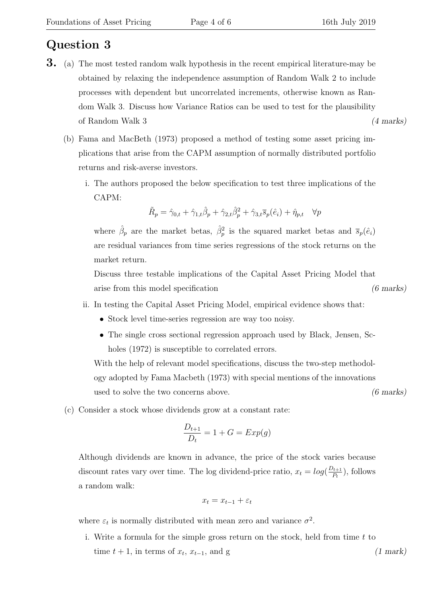### Question 3

- **3.** (a) The most tested random walk hypothesis in the recent empirical literature-may be obtained by relaxing the independence assumption of Random Walk 2 to include processes with dependent but uncorrelated increments, otherwise known as Random Walk 3. Discuss how Variance Ratios can be used to test for the plausibility of Random Walk 3 (4 marks)
	- (b) Fama and MacBeth (1973) proposed a method of testing some asset pricing implications that arise from the CAPM assumption of normally distributed portfolio returns and risk-averse investors.
		- i. The authors proposed the below specification to test three implications of the CAPM:

$$
\tilde{R}_p = \hat{\gamma}_{0,t} + \hat{\gamma}_{1,t}\hat{\beta}_p + \hat{\gamma}_{2,t}\hat{\beta}_p^2 + \hat{\gamma}_{3,t}\overline{s}_p(\hat{e}_i) + \hat{\eta}_{p,t} \quad \forall p
$$

where  $\hat{\beta}_p$  are the market betas,  $\hat{\beta}_p^2$  is the squared market betas and  $\bar{s}_p(\hat{e}_i)$ are residual variances from time series regressions of the stock returns on the market return.

Discuss three testable implications of the Capital Asset Pricing Model that arise from this model specification (6 marks)

- ii. In testing the Capital Asset Pricing Model, empirical evidence shows that:
	- Stock level time-series regression are way too noisy.
	- The single cross sectional regression approach used by Black, Jensen, Scholes (1972) is susceptible to correlated errors.

With the help of relevant model specifications, discuss the two-step methodology adopted by Fama Macbeth (1973) with special mentions of the innovations used to solve the two concerns above. (6 marks)

(c) Consider a stock whose dividends grow at a constant rate:

$$
\frac{D_{t+1}}{D_t} = 1 + G = Exp(g)
$$

Although dividends are known in advance, the price of the stock varies because discount rates vary over time. The log dividend-price ratio,  $x_t = log(\frac{D_{t+1}}{P_t})$  $\frac{p_{t+1}}{P_t}$ ), follows a random walk:

$$
x_t = x_{t-1} + \varepsilon_t
$$

where  $\varepsilon_t$  is normally distributed with mean zero and variance  $\sigma^2$ .

i. Write a formula for the simple gross return on the stock, held from time  $t$  to time  $t + 1$ , in terms of  $x_t$ ,  $x_{t-1}$ , and g (1 mark)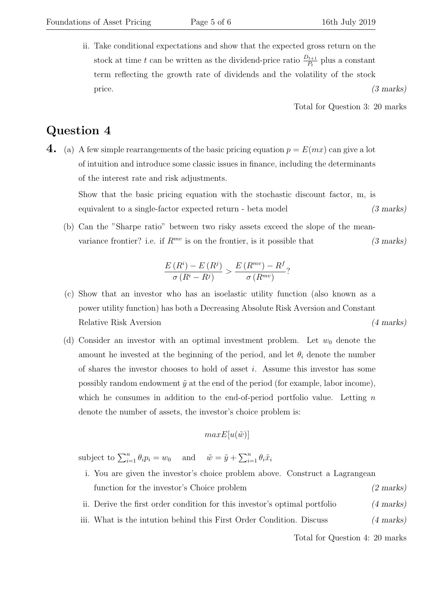ii. Take conditional expectations and show that the expected gross return on the stock at time t can be written as the dividend-price ratio  $\frac{D_{t+1}}{P_t}$  plus a constant term reflecting the growth rate of dividends and the volatility of the stock price.  $(3 \text{ marks})$ 

Total for Question 3: 20 marks

### Question 4

4. (a) A few simple rearrangements of the basic pricing equation  $p = E(mx)$  can give a lot of intuition and introduce some classic issues in finance, including the determinants of the interest rate and risk adjustments.

Show that the basic pricing equation with the stochastic discount factor, m, is equivalent to a single-factor expected return - beta model (3 marks)

(b) Can the "Sharpe ratio" between two risky assets exceed the slope of the meanvariance frontier? i.e. if  $R^{mv}$  is on the frontier, is it possible that (3 marks)

$$
\frac{E(R^{i}) - E(R^{j})}{\sigma(R^{i} - R^{j})} > \frac{E(R^{mv}) - R^{f}}{\sigma(R^{mv})}?
$$

- (c) Show that an investor who has an isoelastic utility function (also known as a power utility function) has both a Decreasing Absolute Risk Aversion and Constant Relative Risk Aversion (4 marks)
- (d) Consider an investor with an optimal investment problem. Let  $w_0$  denote the amount he invested at the beginning of the period, and let  $\theta_i$  denote the number of shares the investor chooses to hold of asset i. Assume this investor has some possibly random endowment  $\tilde{y}$  at the end of the period (for example, labor income), which he consumes in addition to the end-of-period portfolio value. Letting  $n$ denote the number of assets, the investor's choice problem is:

$$
maxE[u(\tilde{w})]
$$

subject to  $\sum_{i=1}^{n} \theta_i p_i = w_0$  and  $\tilde{w} = \tilde{y} + \sum_{i=1}^{n} \theta_i \tilde{x}_i$ 

- i. You are given the investor's choice problem above. Construct a Lagrangean function for the investor's Choice problem (2 marks)
- ii. Derive the first order condition for this investor's optimal portfolio (4 marks)
- iii. What is the intution behind this First Order Condition. Discuss (4 marks)

Total for Question 4: 20 marks